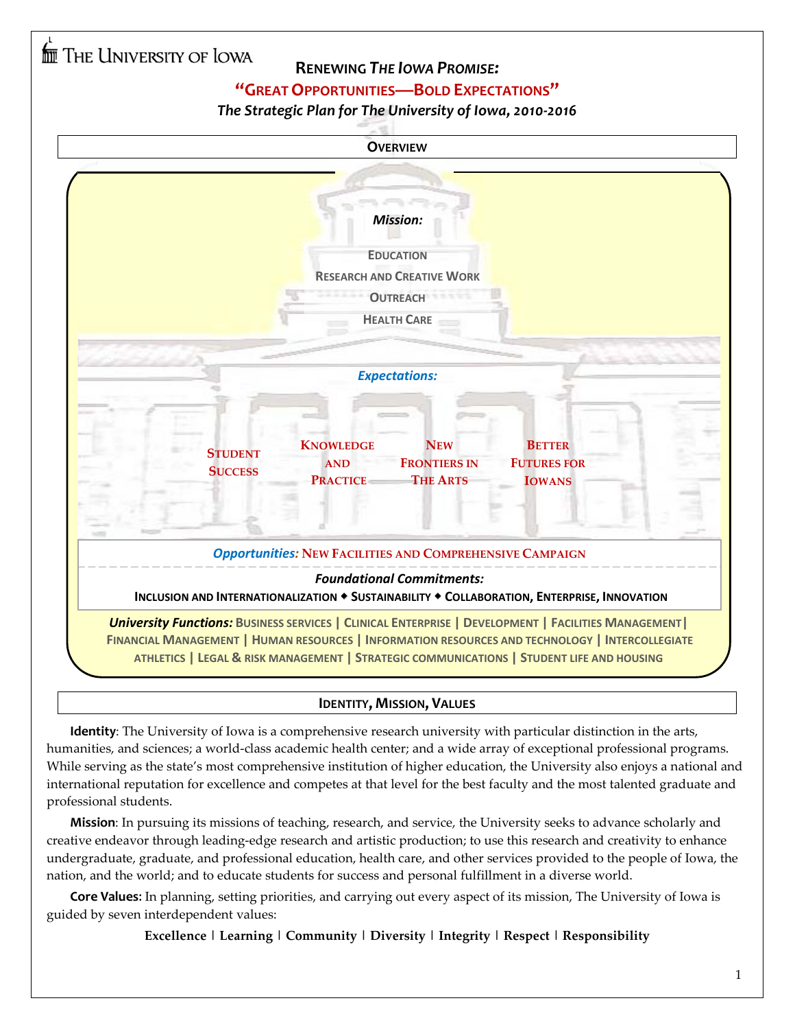### **RENEWING** *THE IOWA PROMISE:*

### **"GREAT OPPORTUNITIES—BOLD EXPECTATIONS"**

### *The Strategic Plan for The University of Iowa, 2010-2016*

| <b>OVERVIEW</b>                                                                                                                                                                                                                                                                                            |  |  |  |
|------------------------------------------------------------------------------------------------------------------------------------------------------------------------------------------------------------------------------------------------------------------------------------------------------------|--|--|--|
| <b>Mission:</b><br><b>EDUCATION</b><br><b>RESEARCH AND CREATIVE WORK</b><br><b>OUTREACH</b><br><b>HEALTH CARE</b>                                                                                                                                                                                          |  |  |  |
| <b>Expectations:</b><br><b>NEW</b><br><b>KNOWLEDGE</b><br><b>BETTER</b><br><b>STUDENT</b><br><b>FRONTIERS IN</b><br><b>FUTURES FOR</b><br><b>AND</b><br><b>SUCCESS</b><br><b>PRACTICE</b><br><b>THE ARTS</b><br><b>IOWANS</b>                                                                              |  |  |  |
| <b>Opportunities: NEW FACILITIES AND COMPREHENSIVE CAMPAIGN</b><br><b>Foundational Commitments:</b><br>INCLUSION AND INTERNATIONALIZATION • SUSTAINABILITY • COLLABORATION, ENTERPRISE, INNOVATION                                                                                                         |  |  |  |
| <b>University Functions: BUSINESS SERVICES   CLINICAL ENTERPRISE   DEVELOPMENT   FACILITIES MANAGEMENT</b><br>FINANCIAL MANAGEMENT   HUMAN RESOURCES   INFORMATION RESOURCES AND TECHNOLOGY   INTERCOLLEGIATE<br>ATHLETICS   LEGAL & RISK MANAGEMENT   STRATEGIC COMMUNICATIONS   STUDENT LIFE AND HOUSING |  |  |  |

### **IDENTITY, MISSION, VALUES**

**Identity**: The University of Iowa is a comprehensive research university with particular distinction in the arts, humanities, and sciences; a world-class academic health center; and a wide array of exceptional professional programs. While serving as the state's most comprehensive institution of higher education, the University also enjoys a national and international reputation for excellence and competes at that level for the best faculty and the most talented graduate and professional students.

**Mission**: In pursuing its missions of teaching, research, and service, the University seeks to advance scholarly and creative endeavor through leading-edge research and artistic production; to use this research and creativity to enhance undergraduate, graduate, and professional education, health care, and other services provided to the people of Iowa, the nation, and the world; and to educate students for success and personal fulfillment in a diverse world.

**Core Values**: In planning, setting priorities, and carrying out every aspect of its mission, The University of Iowa is guided by seven interdependent values:

**Excellence | Learning | Community | Diversity | Integrity | Respect | Responsibility**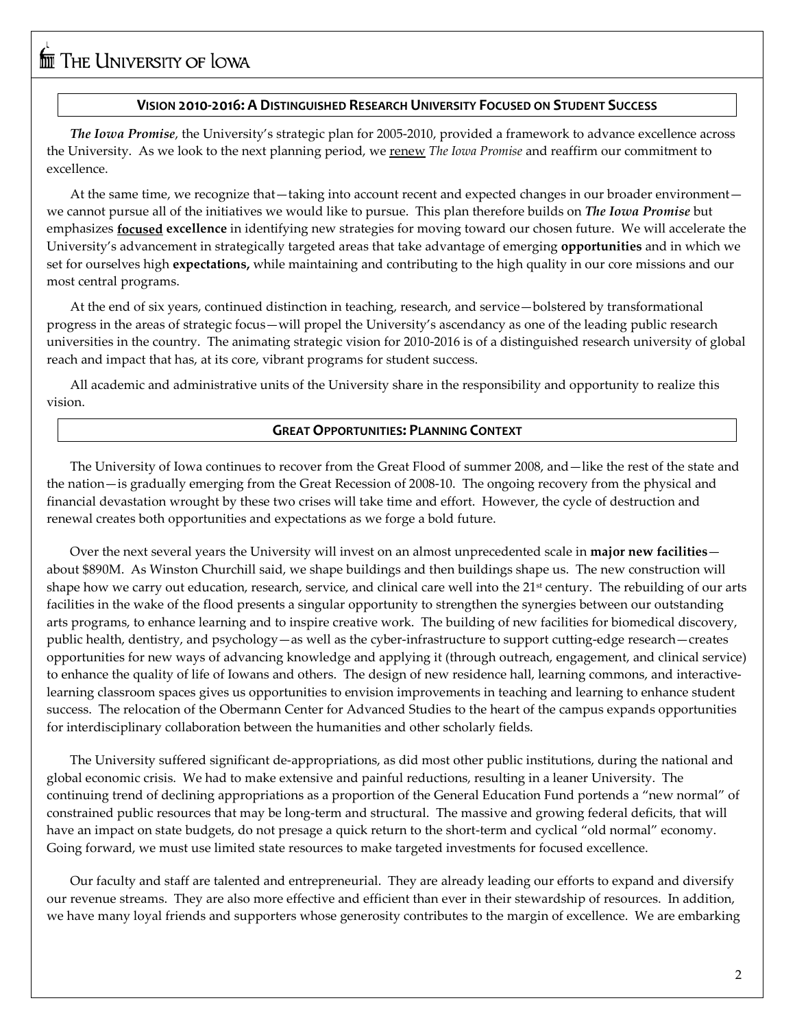#### **VISION 2010-2016: A DISTINGUISHED RESEARCH UNIVERSITY FOCUSED ON STUDENT SUCCESS**

*The Iowa Promise*, the University's strategic plan for 2005-2010, provided a framework to advance excellence across the University. As we look to the next planning period, we renew *The Iowa Promise* and reaffirm our commitment to excellence.

 At the same time, we recognize that—taking into account recent and expected changes in our broader environment we cannot pursue all of the initiatives we would like to pursue. This plan therefore builds on *The Iowa Promise* but emphasizes **focused excellence** in identifying new strategies for moving toward our chosen future. We will accelerate the University's advancement in strategically targeted areas that take advantage of emerging **opportunities** and in which we set for ourselves high **expectations,** while maintaining and contributing to the high quality in our core missions and our most central programs.

At the end of six years, continued distinction in teaching, research, and service—bolstered by transformational progress in the areas of strategic focus—will propel the University's ascendancy as one of the leading public research universities in the country. The animating strategic vision for 2010-2016 is of a distinguished research university of global reach and impact that has, at its core, vibrant programs for student success.

 All academic and administrative units of the University share in the responsibility and opportunity to realize this vision.

#### **GREAT OPPORTUNITIES: PLANNING CONTEXT**

The University of Iowa continues to recover from the Great Flood of summer 2008, and—like the rest of the state and the nation—is gradually emerging from the Great Recession of 2008-10. The ongoing recovery from the physical and financial devastation wrought by these two crises will take time and effort. However, the cycle of destruction and renewal creates both opportunities and expectations as we forge a bold future.

Over the next several years the University will invest on an almost unprecedented scale in **major new facilities** about \$890M. As Winston Churchill said, we shape buildings and then buildings shape us. The new construction will shape how we carry out education, research, service, and clinical care well into the 21<sup>st</sup> century. The rebuilding of our arts facilities in the wake of the flood presents a singular opportunity to strengthen the synergies between our outstanding arts programs, to enhance learning and to inspire creative work. The building of new facilities for biomedical discovery, public health, dentistry, and psychology—as well as the cyber-infrastructure to support cutting-edge research—creates opportunities for new ways of advancing knowledge and applying it (through outreach, engagement, and clinical service) to enhance the quality of life of Iowans and others. The design of new residence hall, learning commons, and interactivelearning classroom spaces gives us opportunities to envision improvements in teaching and learning to enhance student success. The relocation of the Obermann Center for Advanced Studies to the heart of the campus expands opportunities for interdisciplinary collaboration between the humanities and other scholarly fields.

The University suffered significant de-appropriations, as did most other public institutions, during the national and global economic crisis. We had to make extensive and painful reductions, resulting in a leaner University. The continuing trend of declining appropriations as a proportion of the General Education Fund portends a "new normal" of constrained public resources that may be long-term and structural. The massive and growing federal deficits, that will have an impact on state budgets, do not presage a quick return to the short-term and cyclical "old normal" economy. Going forward, we must use limited state resources to make targeted investments for focused excellence.

Our faculty and staff are talented and entrepreneurial. They are already leading our efforts to expand and diversify our revenue streams. They are also more effective and efficient than ever in their stewardship of resources. In addition, we have many loyal friends and supporters whose generosity contributes to the margin of excellence. We are embarking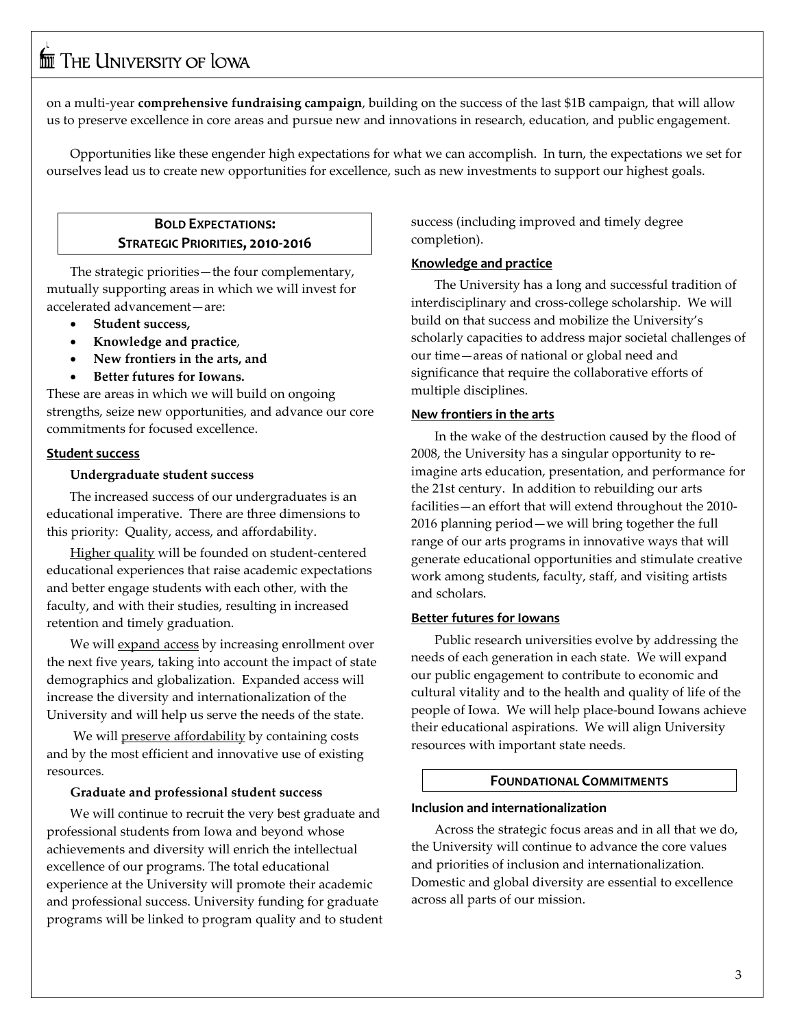on a multi-year **comprehensive fundraising campaign**, building on the success of the last \$1B campaign, that will allow us to preserve excellence in core areas and pursue new and innovations in research, education, and public engagement.

 Opportunities like these engender high expectations for what we can accomplish. In turn, the expectations we set for ourselves lead us to create new opportunities for excellence, such as new investments to support our highest goals.

#### **BOLD EXPECTATIONS: STRATEGIC PRIORITIES, 2010-2016**

The strategic priorities—the four complementary, mutually supporting areas in which we will invest for accelerated advancement—are:

- **Student success,**
- **Knowledge and practice**,
- **New frontiers in the arts, and**
- **Better futures for Iowans.**

These are areas in which we will build on ongoing strengths, seize new opportunities, and advance our core commitments for focused excellence.

#### **Student success**

#### **Undergraduate student success**

 The increased success of our undergraduates is an educational imperative. There are three dimensions to this priority: Quality, access, and affordability.

Higher quality will be founded on student-centered educational experiences that raise academic expectations and better engage students with each other, with the faculty, and with their studies, resulting in increased retention and timely graduation.

We will <u>expand access</u> by increasing enrollment over the next five years, taking into account the impact of state demographics and globalization. Expanded access will increase the diversity and internationalization of the University and will help us serve the needs of the state.

We will **preserve affordability** by containing costs and by the most efficient and innovative use of existing resources.

#### **Graduate and professional student success**

We will continue to recruit the very best graduate and professional students from Iowa and beyond whose achievements and diversity will enrich the intellectual excellence of our programs. The total educational experience at the University will promote their academic and professional success. University funding for graduate programs will be linked to program quality and to student success (including improved and timely degree completion).

#### **Knowledge and practice**

The University has a long and successful tradition of interdisciplinary and cross-college scholarship. We will build on that success and mobilize the University's scholarly capacities to address major societal challenges of our time—areas of national or global need and significance that require the collaborative efforts of multiple disciplines.

#### **New frontiers in the arts**

In the wake of the destruction caused by the flood of 2008, the University has a singular opportunity to reimagine arts education, presentation, and performance for the 21st century. In addition to rebuilding our arts facilities—an effort that will extend throughout the 2010- 2016 planning period—we will bring together the full range of our arts programs in innovative ways that will generate educational opportunities and stimulate creative work among students, faculty, staff, and visiting artists and scholars.

#### **Better futures for Iowans**

Public research universities evolve by addressing the needs of each generation in each state. We will expand our public engagement to contribute to economic and cultural vitality and to the health and quality of life of the people of Iowa. We will help place-bound Iowans achieve their educational aspirations. We will align University resources with important state needs.

#### **FOUNDATIONAL COMMITMENTS**

#### **Inclusion and internationalization**

Across the strategic focus areas and in all that we do, the University will continue to advance the core values and priorities of inclusion and internationalization. Domestic and global diversity are essential to excellence across all parts of our mission.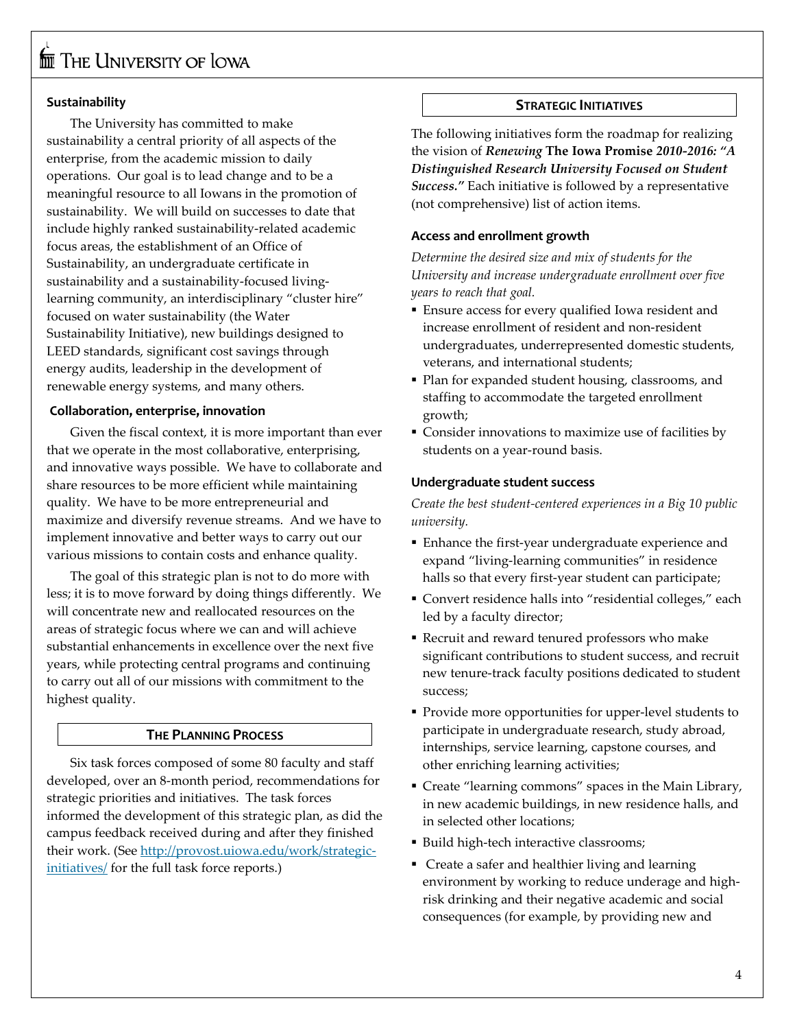## $\overline{\text{fm}}$  The University of Iowa

#### **Sustainability**

The University has committed to make sustainability a central priority of all aspects of the enterprise, from the academic mission to daily operations. Our goal is to lead change and to be a meaningful resource to all Iowans in the promotion of sustainability. We will build on successes to date that include highly ranked sustainability-related academic focus areas, the establishment of an Office of Sustainability, an undergraduate certificate in sustainability and a sustainability-focused livinglearning community, an interdisciplinary "cluster hire" focused on water sustainability (the Water Sustainability Initiative), new buildings designed to LEED standards, significant cost savings through energy audits, leadership in the development of renewable energy systems, and many others.

#### **Collaboration, enterprise, innovation**

Given the fiscal context, it is more important than ever that we operate in the most collaborative, enterprising, and innovative ways possible. We have to collaborate and share resources to be more efficient while maintaining quality. We have to be more entrepreneurial and maximize and diversify revenue streams. And we have to implement innovative and better ways to carry out our various missions to contain costs and enhance quality.

The goal of this strategic plan is not to do more with less; it is to move forward by doing things differently. We will concentrate new and reallocated resources on the areas of strategic focus where we can and will achieve substantial enhancements in excellence over the next five years, while protecting central programs and continuing to carry out all of our missions with commitment to the highest quality.

#### **THE PLANNING PROCESS**

Six task forces composed of some 80 faculty and staff developed, over an 8-month period, recommendations for strategic priorities and initiatives. The task forces informed the development of this strategic plan, as did the campus feedback received during and after they finished their work. (See [http://provost.uiowa.edu/work/strategic](http://provost.uiowa.edu/work/strategic-initiatives/)[initiatives/](http://provost.uiowa.edu/work/strategic-initiatives/) for the full task force reports.)

#### **STRATEGIC INITIATIVES**

The following initiatives form the roadmap for realizing the vision of *Renewing* **The Iowa Promise** *2010-2016: "A Distinguished Research University Focused on Student Success."* Each initiative is followed by a representative (not comprehensive) list of action items.

#### **Access and enrollment growth**

*Determine the desired size and mix of students for the University and increase undergraduate enrollment over five years to reach that goal.* 

- Ensure access for every qualified Iowa resident and increase enrollment of resident and non-resident undergraduates, underrepresented domestic students, veterans, and international students;
- Plan for expanded student housing, classrooms, and staffing to accommodate the targeted enrollment growth;
- Consider innovations to maximize use of facilities by students on a year-round basis.

#### **Undergraduate student success**

*Create the best student-centered experiences in a Big 10 public university.*

- Enhance the first-year undergraduate experience and expand "living-learning communities" in residence halls so that every first-year student can participate;
- Convert residence halls into "residential colleges," each led by a faculty director;
- Recruit and reward tenured professors who make significant contributions to student success, and recruit new tenure-track faculty positions dedicated to student success;
- Provide more opportunities for upper-level students to participate in undergraduate research, study abroad, internships, service learning, capstone courses, and other enriching learning activities;
- Create "learning commons" spaces in the Main Library, in new academic buildings, in new residence halls, and in selected other locations;
- Build high-tech interactive classrooms;
- Create a safer and healthier living and learning environment by working to reduce underage and highrisk drinking and their negative academic and social consequences (for example, by providing new and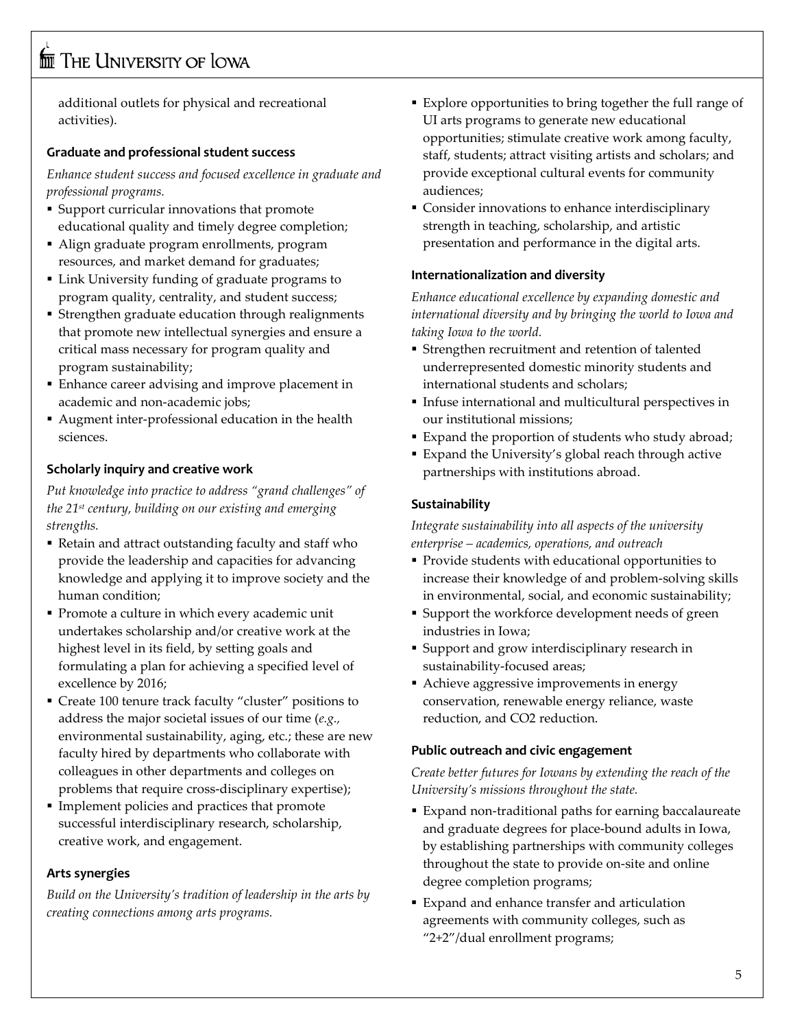additional outlets for physical and recreational activities).

#### **Graduate and professional student success**

*Enhance student success and focused excellence in graduate and professional programs.* 

- Support curricular innovations that promote educational quality and timely degree completion;
- Align graduate program enrollments, program resources, and market demand for graduates;
- Link University funding of graduate programs to program quality, centrality, and student success;
- Strengthen graduate education through realignments that promote new intellectual synergies and ensure a critical mass necessary for program quality and program sustainability;
- Enhance career advising and improve placement in academic and non-academic jobs;
- Augment inter-professional education in the health sciences.

#### **Scholarly inquiry and creative work**

*Put knowledge into practice to address "grand challenges" of the 21st century, building on our existing and emerging strengths.*

- Retain and attract outstanding faculty and staff who provide the leadership and capacities for advancing knowledge and applying it to improve society and the human condition;
- Promote a culture in which every academic unit undertakes scholarship and/or creative work at the highest level in its field, by setting goals and formulating a plan for achieving a specified level of excellence by 2016;
- Create 100 tenure track faculty "cluster" positions to address the major societal issues of our time (*e.g.,* environmental sustainability, aging, etc.; these are new faculty hired by departments who collaborate with colleagues in other departments and colleges on problems that require cross-disciplinary expertise);
- Implement policies and practices that promote successful interdisciplinary research, scholarship, creative work, and engagement.

#### **Arts synergies**

*Build on the University's tradition of leadership in the arts by creating connections among arts programs.* 

- Explore opportunities to bring together the full range of UI arts programs to generate new educational opportunities; stimulate creative work among faculty, staff, students; attract visiting artists and scholars; and provide exceptional cultural events for community audiences;
- Consider innovations to enhance interdisciplinary strength in teaching, scholarship, and artistic presentation and performance in the digital arts.

#### **Internationalization and diversity**

*Enhance educational excellence by expanding domestic and international diversity and by bringing the world to Iowa and taking Iowa to the world.*

- Strengthen recruitment and retention of talented underrepresented domestic minority students and international students and scholars;
- Infuse international and multicultural perspectives in our institutional missions;
- Expand the proportion of students who study abroad;
- Expand the University's global reach through active partnerships with institutions abroad.

#### **Sustainability**

*Integrate sustainability into all aspects of the university enterprise – academics, operations, and outreach*

- Provide students with educational opportunities to increase their knowledge of and problem-solving skills in environmental, social, and economic sustainability;
- Support the workforce development needs of green industries in Iowa;
- Support and grow interdisciplinary research in sustainability-focused areas;
- Achieve aggressive improvements in energy conservation, renewable energy reliance, waste reduction, and CO2 reduction.

#### **Public outreach and civic engagement**

*Create better futures for Iowans by extending the reach of the University's missions throughout the state.* 

- Expand non-traditional paths for earning baccalaureate and graduate degrees for place-bound adults in Iowa, by establishing partnerships with community colleges throughout the state to provide on-site and online degree completion programs;
- Expand and enhance transfer and articulation agreements with community colleges, such as "2+2"/dual enrollment programs;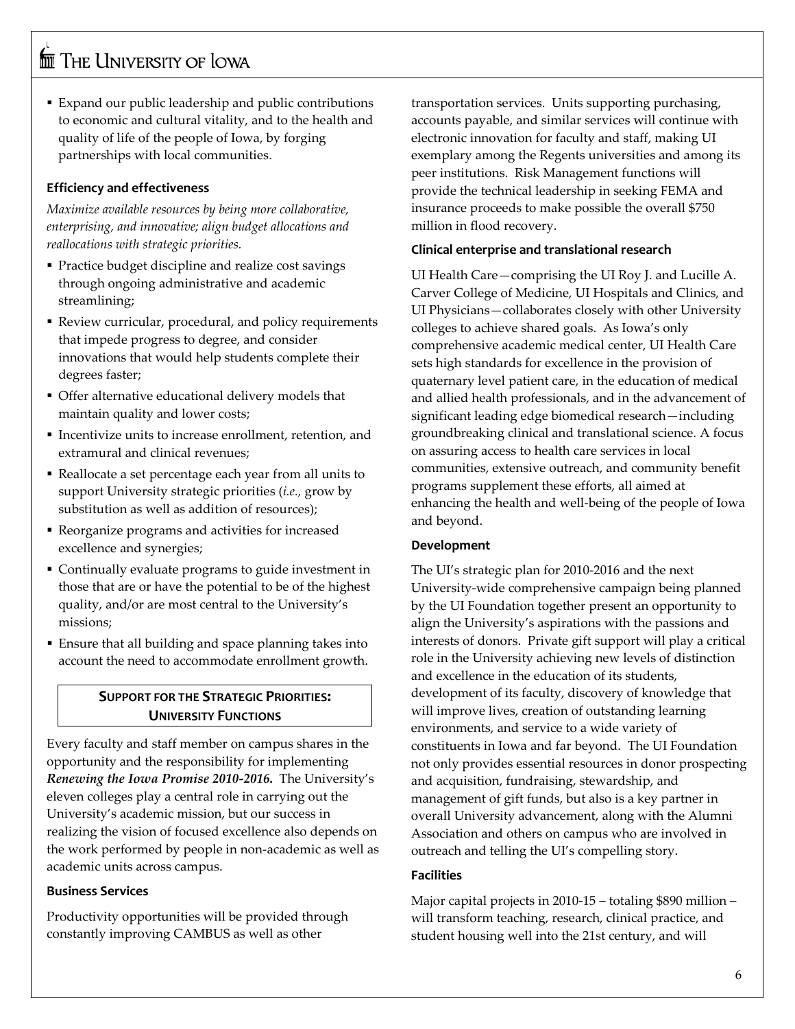Expand our public leadership and public contributions to economic and cultural vitality, and to the health and quality of life of the people of Iowa, by forging partnerships with local communities.

#### **Efficiency and effectiveness**

*Maximize available resources by being more collaborative, enterprising, and innovative; align budget allocations and reallocations with strategic priorities.* 

- Practice budget discipline and realize cost savings through ongoing administrative and academic streamlining;
- Review curricular, procedural, and policy requirements that impede progress to degree, and consider innovations that would help students complete their degrees faster;
- Offer alternative educational delivery models that maintain quality and lower costs;
- Incentivize units to increase enrollment, retention, and extramural and clinical revenues;
- Reallocate a set percentage each year from all units to support University strategic priorities (*i.e.,* grow by substitution as well as addition of resources);
- Reorganize programs and activities for increased excellence and synergies;
- Continually evaluate programs to guide investment in those that are or have the potential to be of the highest quality, and/or are most central to the University's missions;
- Ensure that all building and space planning takes into account the need to accommodate enrollment growth.

### **SUPPORT FOR THE STRATEGIC PRIORITIES: UNIVERSITY FUNCTIONS**

Every faculty and staff member on campus shares in the opportunity and the responsibility for implementing *Renewing the Iowa Promise 2010-2016***.** The University's eleven colleges play a central role in carrying out the University's academic mission, but our success in realizing the vision of focused excellence also depends on the work performed by people in non-academic as well as academic units across campus.

#### **Business Services**

Productivity opportunities will be provided through constantly improving CAMBUS as well as other

transportation services. Units supporting purchasing, accounts payable, and similar services will continue with electronic innovation for faculty and staff, making UI exemplary among the Regents universities and among its peer institutions. Risk Management functions will provide the technical leadership in seeking FEMA and insurance proceeds to make possible the overall \$750 million in flood recovery.

#### **Clinical enterprise and translational research**

UI Health Care—comprising the UI Roy J. and Lucille A. Carver College of Medicine, UI Hospitals and Clinics, and UI Physicians—collaborates closely with other University colleges to achieve shared goals. As Iowa's only comprehensive academic medical center, UI Health Care sets high standards for excellence in the provision of quaternary level patient care, in the education of medical and allied health professionals, and in the advancement of significant leading edge biomedical research—including groundbreaking clinical and translational science. A focus on assuring access to health care services in local communities, extensive outreach, and community benefit programs supplement these efforts, all aimed at enhancing the health and well-being of the people of Iowa and beyond.

#### **Development**

The UI's strategic plan for 2010-2016 and the next University-wide comprehensive campaign being planned by the UI Foundation together present an opportunity to align the University's aspirations with the passions and interests of donors. Private gift support will play a critical role in the University achieving new levels of distinction and excellence in the education of its students, development of its faculty, discovery of knowledge that will improve lives, creation of outstanding learning environments, and service to a wide variety of constituents in Iowa and far beyond. The UI Foundation not only provides essential resources in donor prospecting and acquisition, fundraising, stewardship, and management of gift funds, but also is a key partner in overall University advancement, along with the Alumni Association and others on campus who are involved in outreach and telling the UI's compelling story.

#### **Facilities**

Major capital projects in 2010-15 – totaling \$890 million – will transform teaching, research, clinical practice, and student housing well into the 21st century, and will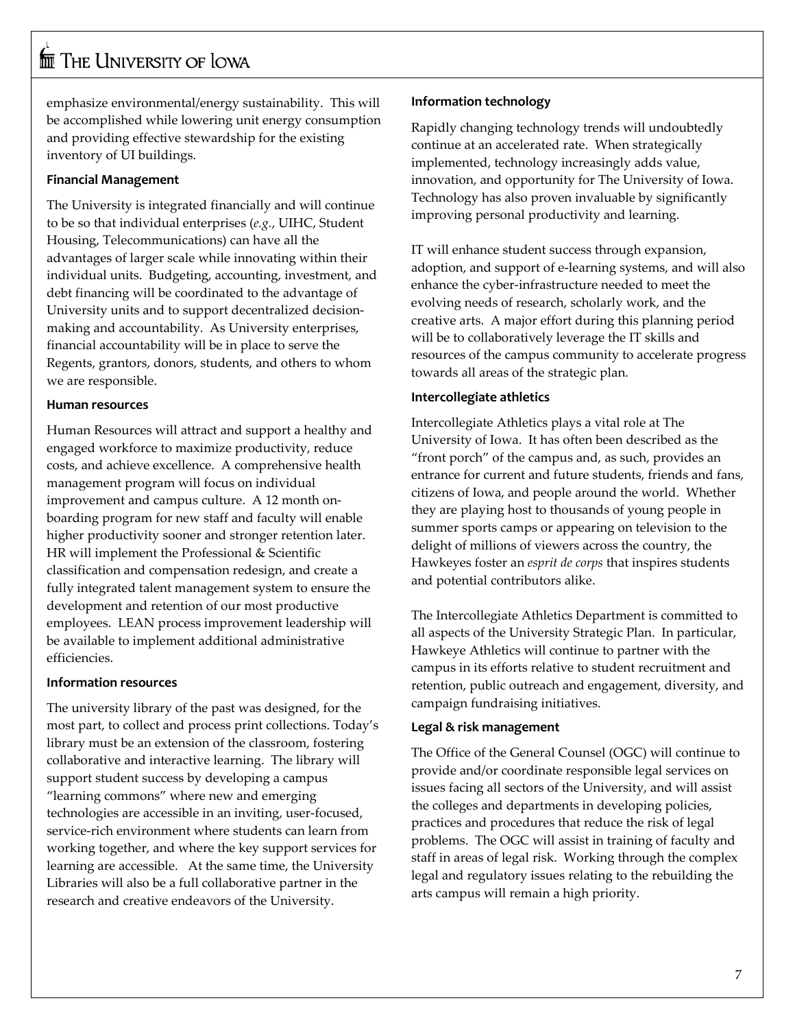emphasize environmental/energy sustainability. This will be accomplished while lowering unit energy consumption and providing effective stewardship for the existing inventory of UI buildings.

#### **Financial Management**

The University is integrated financially and will continue to be so that individual enterprises (*e.g.*, UIHC, Student Housing, Telecommunications) can have all the advantages of larger scale while innovating within their individual units. Budgeting, accounting, investment, and debt financing will be coordinated to the advantage of University units and to support decentralized decisionmaking and accountability. As University enterprises, financial accountability will be in place to serve the Regents, grantors, donors, students, and others to whom we are responsible.

#### **Human resources**

Human Resources will attract and support a healthy and engaged workforce to maximize productivity, reduce costs, and achieve excellence. A comprehensive health management program will focus on individual improvement and campus culture. A 12 month onboarding program for new staff and faculty will enable higher productivity sooner and stronger retention later. HR will implement the Professional & Scientific classification and compensation redesign, and create a fully integrated talent management system to ensure the development and retention of our most productive employees. LEAN process improvement leadership will be available to implement additional administrative efficiencies.

#### **Information resources**

The university library of the past was designed, for the most part, to collect and process print collections. Today's library must be an extension of the classroom, fostering collaborative and interactive learning. The library will support student success by developing a campus "learning commons" where new and emerging technologies are accessible in an inviting, user-focused, service-rich environment where students can learn from working together, and where the key support services for learning are accessible. At the same time, the University Libraries will also be a full collaborative partner in the research and creative endeavors of the University.

#### **Information technology**

Rapidly changing technology trends will undoubtedly continue at an accelerated rate. When strategically implemented, technology increasingly adds value, innovation, and opportunity for The University of Iowa. Technology has also proven invaluable by significantly improving personal productivity and learning.

IT will enhance student success through expansion, adoption, and support of e-learning systems, and will also enhance the cyber-infrastructure needed to meet the evolving needs of research, scholarly work, and the creative arts. A major effort during this planning period will be to collaboratively leverage the IT skills and resources of the campus community to accelerate progress towards all areas of the strategic plan.

#### **Intercollegiate athletics**

Intercollegiate Athletics plays a vital role at The University of Iowa. It has often been described as the "front porch" of the campus and, as such, provides an entrance for current and future students, friends and fans, citizens of Iowa, and people around the world. Whether they are playing host to thousands of young people in summer sports camps or appearing on television to the delight of millions of viewers across the country, the Hawkeyes foster an *esprit de corps* that inspires students and potential contributors alike.

The Intercollegiate Athletics Department is committed to all aspects of the University Strategic Plan. In particular, Hawkeye Athletics will continue to partner with the campus in its efforts relative to student recruitment and retention, public outreach and engagement, diversity, and campaign fundraising initiatives.

#### **Legal & risk management**

The Office of the General Counsel (OGC) will continue to provide and/or coordinate responsible legal services on issues facing all sectors of the University, and will assist the colleges and departments in developing policies, practices and procedures that reduce the risk of legal problems. The OGC will assist in training of faculty and staff in areas of legal risk. Working through the complex legal and regulatory issues relating to the rebuilding the arts campus will remain a high priority.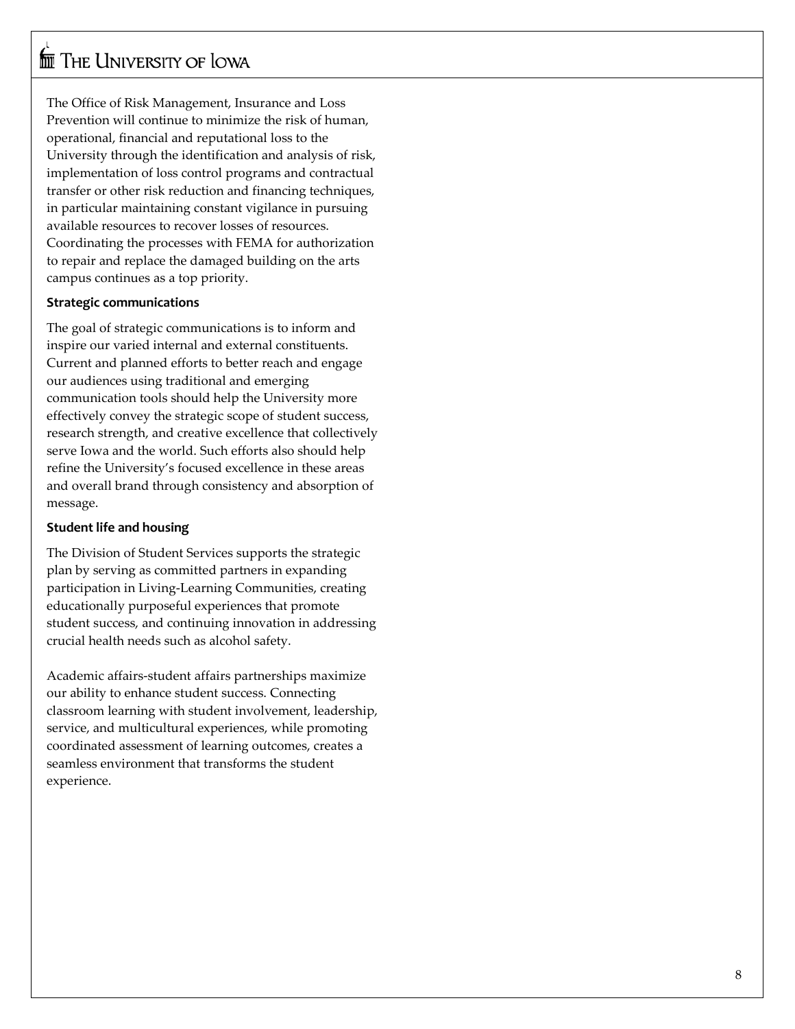The Office of Risk Management, Insurance and Loss Prevention will continue to minimize the risk of human, operational, financial and reputational loss to the University through the identification and analysis of risk, implementation of loss control programs and contractual transfer or other risk reduction and financing techniques, in particular maintaining constant vigilance in pursuing available resources to recover losses of resources. Coordinating the processes with FEMA for authorization to repair and replace the damaged building on the arts campus continues as a top priority.

#### **Strategic communications**

The goal of strategic communications is to inform and inspire our varied internal and external constituents. Current and planned efforts to better reach and engage our audiences using traditional and emerging communication tools should help the University more effectively convey the strategic scope of student success, research strength, and creative excellence that collectively serve Iowa and the world. Such efforts also should help refine the University's focused excellence in these areas and overall brand through consistency and absorption of message.

#### **Student life and housing**

The Division of Student Services supports the strategic plan by serving as committed partners in expanding participation in Living -Learning Communities, creating educationally purposeful experiences that promote student success, and continuing innovation in addressing crucial health needs such as alcohol safety.

Academic affairs -student affairs partnerships maximize our ability to enhance student success. Connecting classroom learning with student involvement, leadership, service, and multicultural experiences, while promoting coordinated assessment of learning outcomes, creates a seamless environment that transforms the student experience.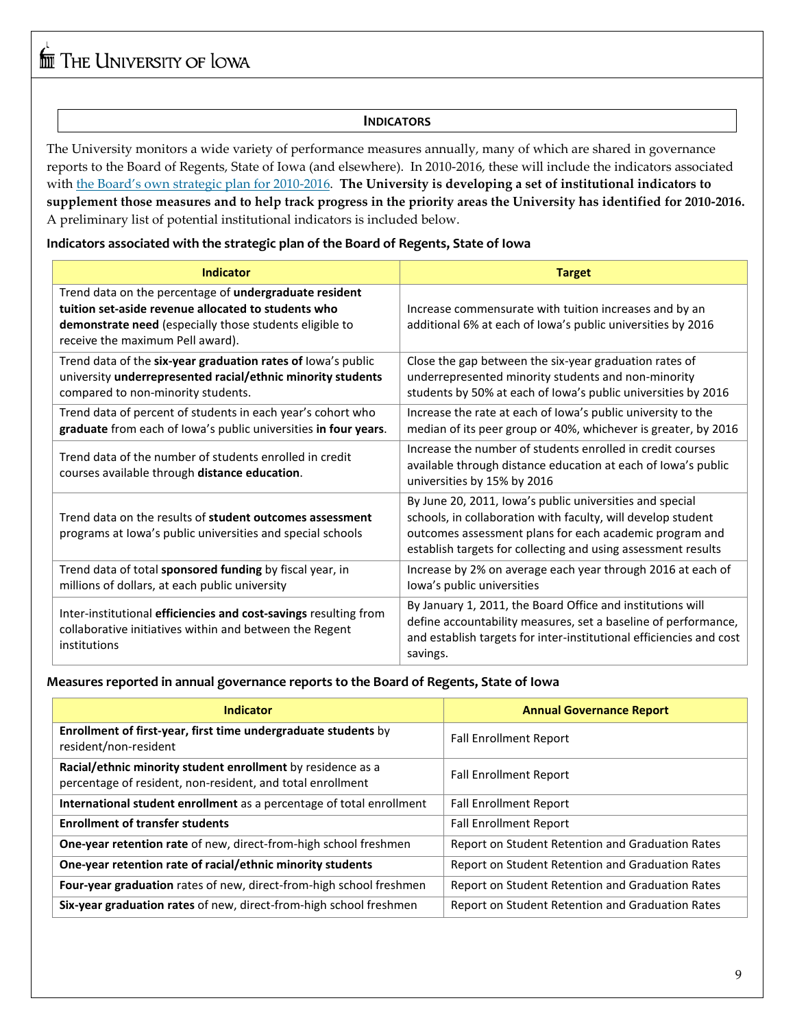#### **INDICATORS**

The University monitors a wide variety of performance measures annually, many of which are shared in governance reports to the Board of Regents, State of Iowa (and elsewhere). In 2010-2016, these will include the indicators associated with [the Board's own strategic plan for 2010-2016.](http://www.regents.iowa.gov/StratPlan/StrategicPlan2010-2016.pdf) **The University is developing a set of institutional indicators to supplement those measures and to help track progress in the priority areas the University has identified for 2010-2016.**  A preliminary list of potential institutional indicators is included below.

**Indicators associated with the strategic plan of the Board of Regents, State of Iowa**

| <b>Indicator</b>                                                                                                                                                                                             | <b>Target</b>                                                                                                                                                                                                                                        |  |
|--------------------------------------------------------------------------------------------------------------------------------------------------------------------------------------------------------------|------------------------------------------------------------------------------------------------------------------------------------------------------------------------------------------------------------------------------------------------------|--|
| Trend data on the percentage of undergraduate resident<br>tuition set-aside revenue allocated to students who<br>demonstrate need (especially those students eligible to<br>receive the maximum Pell award). | Increase commensurate with tuition increases and by an<br>additional 6% at each of Iowa's public universities by 2016                                                                                                                                |  |
| Trend data of the six-year graduation rates of lowa's public<br>university underrepresented racial/ethnic minority students<br>compared to non-minority students.                                            | Close the gap between the six-year graduation rates of<br>underrepresented minority students and non-minority<br>students by 50% at each of Iowa's public universities by 2016                                                                       |  |
| Trend data of percent of students in each year's cohort who<br>graduate from each of lowa's public universities in four years.                                                                               | Increase the rate at each of Iowa's public university to the<br>median of its peer group or 40%, whichever is greater, by 2016                                                                                                                       |  |
| Trend data of the number of students enrolled in credit<br>courses available through distance education.                                                                                                     | Increase the number of students enrolled in credit courses<br>available through distance education at each of lowa's public<br>universities by 15% by 2016                                                                                           |  |
| Trend data on the results of student outcomes assessment<br>programs at Iowa's public universities and special schools                                                                                       | By June 20, 2011, Iowa's public universities and special<br>schools, in collaboration with faculty, will develop student<br>outcomes assessment plans for each academic program and<br>establish targets for collecting and using assessment results |  |
| Trend data of total sponsored funding by fiscal year, in<br>millions of dollars, at each public university                                                                                                   | Increase by 2% on average each year through 2016 at each of<br>lowa's public universities                                                                                                                                                            |  |
| Inter-institutional efficiencies and cost-savings resulting from<br>collaborative initiatives within and between the Regent<br>institutions                                                                  | By January 1, 2011, the Board Office and institutions will<br>define accountability measures, set a baseline of performance,<br>and establish targets for inter-institutional efficiencies and cost<br>savings.                                      |  |

#### **Measures reported in annual governance reports to the Board of Regents, State of Iowa**

| <b>Indicator</b>                                                                                                          | <b>Annual Governance Report</b>                  |  |
|---------------------------------------------------------------------------------------------------------------------------|--------------------------------------------------|--|
| Enrollment of first-year, first time undergraduate students by<br>resident/non-resident                                   | <b>Fall Enrollment Report</b>                    |  |
| Racial/ethnic minority student enrollment by residence as a<br>percentage of resident, non-resident, and total enrollment | <b>Fall Enrollment Report</b>                    |  |
| International student enrollment as a percentage of total enrollment                                                      | <b>Fall Enrollment Report</b>                    |  |
| <b>Enrollment of transfer students</b>                                                                                    | <b>Fall Enrollment Report</b>                    |  |
| One-year retention rate of new, direct-from-high school freshmen                                                          | Report on Student Retention and Graduation Rates |  |
| One-year retention rate of racial/ethnic minority students                                                                | Report on Student Retention and Graduation Rates |  |
| <b>Four-year graduation</b> rates of new, direct-from-high school freshmen                                                | Report on Student Retention and Graduation Rates |  |
| Six-year graduation rates of new, direct-from-high school freshmen                                                        | Report on Student Retention and Graduation Rates |  |